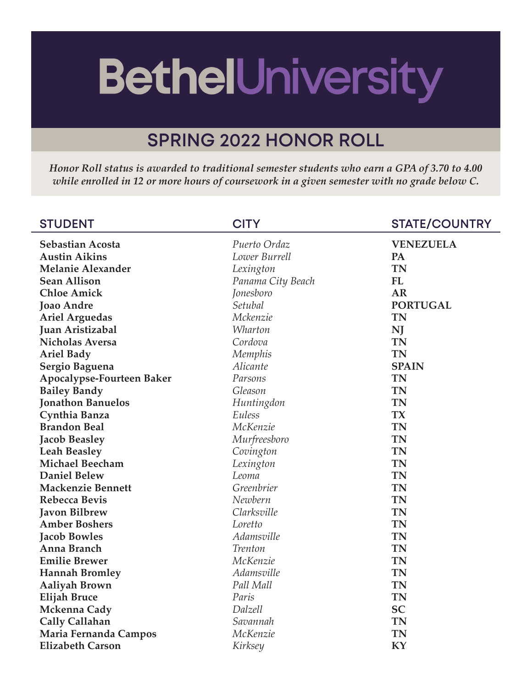## **BethelUniversity**

## **SPRING 2022 HONOR ROLL**

*Honor Roll status is awarded to traditional semester students who earn a GPA of 3.70 to 4.00 while enrolled in 12 or more hours of coursework in a given semester with no grade below C.*

| <b>STUDENT</b>            | <b>CITY</b>       | <b>STATE/COUNTRY</b> |
|---------------------------|-------------------|----------------------|
| Sebastian Acosta          | Puerto Ordaz      | <b>VENEZUELA</b>     |
| <b>Austin Aikins</b>      | Lower Burrell     | PA                   |
| <b>Melanie Alexander</b>  | Lexington         | <b>TN</b>            |
| <b>Sean Allison</b>       | Panama City Beach | FL                   |
| <b>Chloe Amick</b>        | Jonesboro         | <b>AR</b>            |
| <b>Joao Andre</b>         | Setubal           | <b>PORTUGAL</b>      |
| <b>Ariel Arguedas</b>     | Mckenzie          | <b>TN</b>            |
| Juan Aristizabal          | Wharton           | NJ                   |
| <b>Nicholas Aversa</b>    | Cordova           | <b>TN</b>            |
| <b>Ariel Bady</b>         | Memphis           | <b>TN</b>            |
| Sergio Baguena            | Alicante          | <b>SPAIN</b>         |
| Apocalypse-Fourteen Baker | Parsons           | <b>TN</b>            |
| <b>Bailey Bandy</b>       | Gleason           | <b>TN</b>            |
| <b>Jonathon Banuelos</b>  | Huntingdon        | <b>TN</b>            |
| Cynthia Banza             | Euless            | <b>TX</b>            |
| <b>Brandon Beal</b>       | McKenzie          | <b>TN</b>            |
| <b>Jacob Beasley</b>      | Murfreesboro      | <b>TN</b>            |
| <b>Leah Beasley</b>       | Covington         | <b>TN</b>            |
| <b>Michael Beecham</b>    | Lexington         | <b>TN</b>            |
| <b>Daniel Belew</b>       | Leoma             | <b>TN</b>            |
| <b>Mackenzie Bennett</b>  | Greenbrier        | <b>TN</b>            |
| <b>Rebecca Bevis</b>      | Newbern           | <b>TN</b>            |
| <b>Javon Bilbrew</b>      | Clarksville       | <b>TN</b>            |
| <b>Amber Boshers</b>      | Loretto           | <b>TN</b>            |
| <b>Jacob Bowles</b>       | Adamsville        | <b>TN</b>            |
| Anna Branch               | <b>Trenton</b>    | <b>TN</b>            |
| <b>Emilie Brewer</b>      | McKenzie          | <b>TN</b>            |
| <b>Hannah Bromley</b>     | Adamsville        | <b>TN</b>            |
| <b>Aaliyah Brown</b>      | Pall Mall         | <b>TN</b>            |
| <b>Elijah Bruce</b>       | Paris             | <b>TN</b>            |
| Mckenna Cady              | Dalzell           | <b>SC</b>            |
| <b>Cally Callahan</b>     | Savannah          | <b>TN</b>            |
| Maria Fernanda Campos     | McKenzie          | <b>TN</b>            |
| <b>Elizabeth Carson</b>   | Kirksey           | KY                   |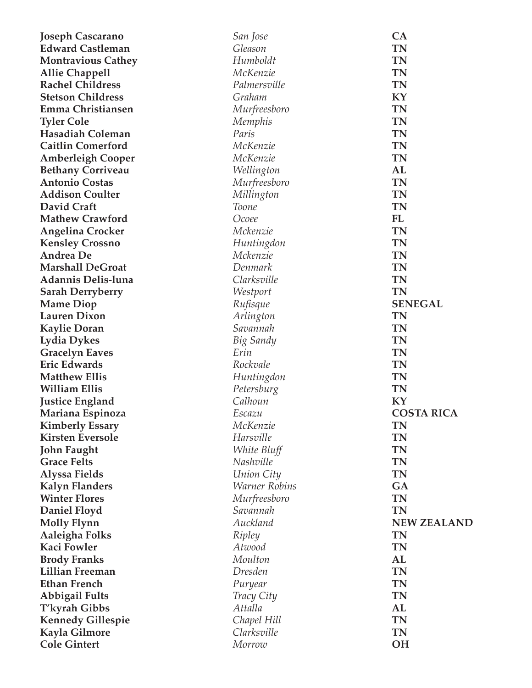| <b>Joseph Cascarano</b>   | San Jose             | CA                 |
|---------------------------|----------------------|--------------------|
| <b>Edward Castleman</b>   | Gleason              | <b>TN</b>          |
| <b>Montravious Cathey</b> | Humboldt             | <b>TN</b>          |
| <b>Allie Chappell</b>     | McKenzie             | <b>TN</b>          |
| <b>Rachel Childress</b>   | Palmersville         | <b>TN</b>          |
| <b>Stetson Childress</b>  | Graham               | KY                 |
| Emma Christiansen         | Murfreesboro         | <b>TN</b>          |
| <b>Tyler Cole</b>         | Memphis              | <b>TN</b>          |
| <b>Hasadiah Coleman</b>   | Paris                | <b>TN</b>          |
| <b>Caitlin Comerford</b>  | McKenzie             | <b>TN</b>          |
| <b>Amberleigh Cooper</b>  | McKenzie             | <b>TN</b>          |
| <b>Bethany Corriveau</b>  | Wellington           | AL                 |
| <b>Antonio Costas</b>     | Murfreesboro         | <b>TN</b>          |
| <b>Addison Coulter</b>    | Millington           | <b>TN</b>          |
| David Craft               | Toone                | <b>TN</b>          |
| <b>Mathew Crawford</b>    | Ocoee                | FL                 |
| <b>Angelina Crocker</b>   | Mckenzie             | <b>TN</b>          |
| <b>Kensley Crossno</b>    | Huntingdon           | <b>TN</b>          |
| <b>Andrea</b> De          | Mckenzie             | <b>TN</b>          |
| <b>Marshall DeGroat</b>   | Denmark              | <b>TN</b>          |
| <b>Adannis Delis-luna</b> | Clarksville          | <b>TN</b>          |
| <b>Sarah Derryberry</b>   | Westport             | <b>TN</b>          |
| <b>Mame Diop</b>          | Rufisque             | <b>SENEGAL</b>     |
| <b>Lauren Dixon</b>       | Arlington            | <b>TN</b>          |
| <b>Kaylie Doran</b>       | Savannah             | <b>TN</b>          |
| <b>Lydia Dykes</b>        | Big Sandy            | <b>TN</b>          |
| <b>Gracelyn Eaves</b>     | Erin                 | <b>TN</b>          |
| <b>Eric Edwards</b>       | Rockvale             | <b>TN</b>          |
| <b>Matthew Ellis</b>      | Huntingdon           | <b>TN</b>          |
| <b>William Ellis</b>      | Petersburg           | <b>TN</b>          |
| <b>Justice England</b>    | Calhoun              | KY                 |
| Mariana Espinoza          | Escazu               | <b>COSTA RICA</b>  |
| <b>Kimberly Essary</b>    | McKenzie             | TN                 |
| <b>Kirsten Eversole</b>   | Harsville            | <b>TN</b>          |
| <b>John Faught</b>        | White Bluff          | <b>TN</b>          |
| <b>Grace Felts</b>        | Nashville            | <b>TN</b>          |
| <b>Alyssa Fields</b>      | Union City           | <b>TN</b>          |
| <b>Kalyn Flanders</b>     | <b>Warner Robins</b> | GA                 |
| <b>Winter Flores</b>      | Murfreesboro         | <b>TN</b>          |
| <b>Daniel Floyd</b>       | Savannah             | <b>TN</b>          |
| <b>Molly Flynn</b>        | Auckland             | <b>NEW ZEALAND</b> |
| Aaleigha Folks            | Ripley               | <b>TN</b>          |
| <b>Kaci Fowler</b>        | Atwood               | <b>TN</b>          |
| <b>Brody Franks</b>       | Moulton              | AL                 |
| <b>Lillian Freeman</b>    | Dresden              | <b>TN</b>          |
| <b>Ethan French</b>       | Puryear              | <b>TN</b>          |
| <b>Abbigail Fults</b>     | Tracy City           | <b>TN</b>          |
| T'kyrah Gibbs             | Attalla              | AL                 |
| <b>Kennedy Gillespie</b>  | Chapel Hill          | <b>TN</b>          |
| Kayla Gilmore             | Clarksville          | <b>TN</b>          |
| <b>Cole Gintert</b>       | Morrow               | <b>OH</b>          |
|                           |                      |                    |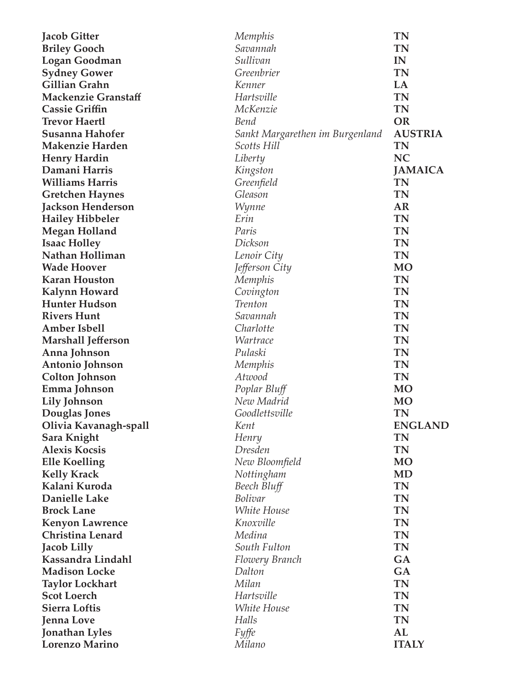| <b>Jacob Gitter</b>        | Memphis                         | TN             |
|----------------------------|---------------------------------|----------------|
| <b>Briley Gooch</b>        | Savannah                        | <b>TN</b>      |
| <b>Logan Goodman</b>       | Sullivan                        | IN             |
| <b>Sydney Gower</b>        | Greenbrier                      | <b>TN</b>      |
| Gillian Grahn              | Kenner                          | LA             |
| <b>Mackenzie Granstaff</b> | Hartsville                      | <b>TN</b>      |
| <b>Cassie Griffin</b>      | McKenzie                        | <b>TN</b>      |
| <b>Trevor Haertl</b>       | Bend                            | <b>OR</b>      |
| Susanna Hahofer            | Sankt Margarethen im Burgenland | <b>AUSTRIA</b> |
| <b>Makenzie Harden</b>     | Scotts Hill                     | <b>TN</b>      |
| <b>Henry Hardin</b>        | Liberty                         | <b>NC</b>      |
| Damani Harris              | Kingston                        | <b>JAMAICA</b> |
| <b>Williams Harris</b>     | Greenfield                      | <b>TN</b>      |
| <b>Gretchen Haynes</b>     | Gleason                         | <b>TN</b>      |
| <b>Jackson Henderson</b>   | Wynne                           | AR             |
| <b>Hailey Hibbeler</b>     | Erin                            | <b>TN</b>      |
| <b>Megan Holland</b>       | Paris                           | <b>TN</b>      |
| <b>Isaac Holley</b>        | Dickson                         | <b>TN</b>      |
| Nathan Holliman            | Lenoir City                     | <b>TN</b>      |
| <b>Wade Hoover</b>         | Jefferson City                  | <b>MO</b>      |
| <b>Karan Houston</b>       | Memphis                         | <b>TN</b>      |
| <b>Kalynn Howard</b>       | Covington                       | <b>TN</b>      |
| <b>Hunter Hudson</b>       | <b>Trenton</b>                  | <b>TN</b>      |
| <b>Rivers Hunt</b>         | Savannah                        | <b>TN</b>      |
| <b>Amber Isbell</b>        | Charlotte                       | <b>TN</b>      |
| <b>Marshall Jefferson</b>  | <i>Wartrace</i>                 | <b>TN</b>      |
| Anna Johnson               | Pulaski                         | <b>TN</b>      |
| Antonio Johnson            | Memphis                         | <b>TN</b>      |
| <b>Colton Johnson</b>      | Atwood                          | <b>TN</b>      |
| Emma Johnson               | Poplar Bluff                    | <b>MO</b>      |
| <b>Lily Johnson</b>        | New Madrid                      | <b>MO</b>      |
| Douglas Jones              | Goodlettsville                  | <b>TN</b>      |
| Olivia Kavanagh-spall      | Kent                            | <b>ENGLAND</b> |
| Sara Knight                | Henry                           | <b>TN</b>      |
| <b>Alexis Kocsis</b>       | Dresden                         | <b>TN</b>      |
| <b>Elle Koelling</b>       | New Bloomfield                  | <b>MO</b>      |
| <b>Kelly Krack</b>         | Nottingham                      | <b>MD</b>      |
| Kalani Kuroda              | Beech Bluff                     | <b>TN</b>      |
| <b>Danielle Lake</b>       | <b>Bolivar</b>                  | <b>TN</b>      |
| <b>Brock Lane</b>          | White House                     | <b>TN</b>      |
| <b>Kenyon Lawrence</b>     | Knoxville                       | <b>TN</b>      |
| <b>Christina Lenard</b>    | Medina                          | <b>TN</b>      |
| <b>Jacob Lilly</b>         | South Fulton                    | <b>TN</b>      |
| Kassandra Lindahl          | Flowery Branch                  | GA             |
| <b>Madison Locke</b>       | Dalton                          | GA             |
| <b>Taylor Lockhart</b>     | Milan                           | <b>TN</b>      |
| <b>Scot Loerch</b>         | Hartsville                      | <b>TN</b>      |
| <b>Sierra Loftis</b>       | White House                     | <b>TN</b>      |
| <b>Jenna Love</b>          | Halls                           | <b>TN</b>      |
| <b>Jonathan Lyles</b>      | <b>Fyffe</b>                    | AL             |
| <b>Lorenzo Marino</b>      | Milano                          | <b>ITALY</b>   |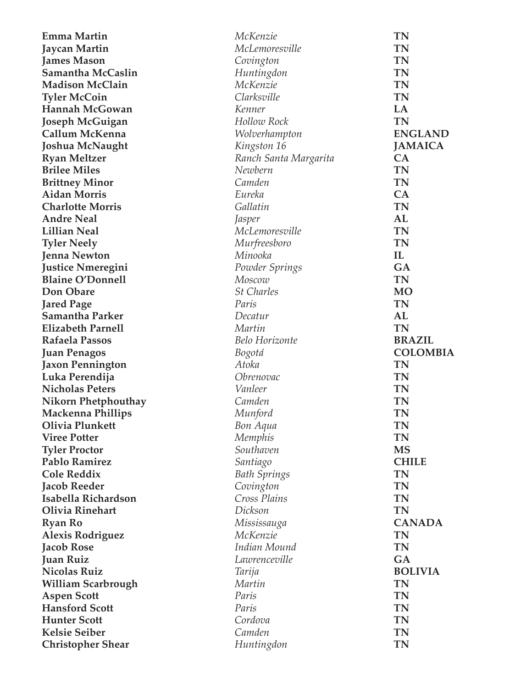| <b>Emma Martin</b>         | McKenzie              | TN              |
|----------------------------|-----------------------|-----------------|
| <b>Jaycan Martin</b>       | McLemoresville        | <b>TN</b>       |
| <b>James Mason</b>         | Covington             | <b>TN</b>       |
| Samantha McCaslin          | Huntingdon            | <b>TN</b>       |
| <b>Madison McClain</b>     | McKenzie              | <b>TN</b>       |
| <b>Tyler McCoin</b>        | Clarksville           | <b>TN</b>       |
| <b>Hannah McGowan</b>      | Kenner                | LA              |
| <b>Joseph McGuigan</b>     | Hollow Rock           | <b>TN</b>       |
| Callum McKenna             | Wolverhampton         | <b>ENGLAND</b>  |
| Joshua McNaught            | Kingston 16           | <b>JAMAICA</b>  |
| <b>Ryan Meltzer</b>        | Ranch Santa Margarita | CA              |
| <b>Brilee Miles</b>        | Newbern               | <b>TN</b>       |
| <b>Brittney Minor</b>      | Camden                | <b>TN</b>       |
| <b>Aidan Morris</b>        | Eureka                | CA              |
| <b>Charlotte Morris</b>    | Gallatin              | <b>TN</b>       |
| <b>Andre Neal</b>          | Jasper                | AL              |
| <b>Lillian Neal</b>        | McLemoresville        | <b>TN</b>       |
| <b>Tyler Neely</b>         | Murfreesboro          | <b>TN</b>       |
| <b>Jenna Newton</b>        | Minooka               | IL              |
| <b>Justice Nmeregini</b>   | Powder Springs        | GA              |
| <b>Blaine O'Donnell</b>    | Moscow                | <b>TN</b>       |
| Don Obare                  | <b>St Charles</b>     | <b>MO</b>       |
| <b>Jared Page</b>          | Paris                 | <b>TN</b>       |
| <b>Samantha Parker</b>     | Decatur               | AL              |
| <b>Elizabeth Parnell</b>   | Martin                | <b>TN</b>       |
| <b>Rafaela Passos</b>      | <b>Belo Horizonte</b> | <b>BRAZIL</b>   |
| <b>Juan Penagos</b>        | Bogotá                | <b>COLOMBIA</b> |
| <b>Jaxon Pennington</b>    | Atoka                 | <b>TN</b>       |
| Luka Perendija             | Obrenovac             | <b>TN</b>       |
| <b>Nicholas Peters</b>     | Vanleer               | <b>TN</b>       |
| <b>Nikorn Phetphouthay</b> | Camden                | <b>TN</b>       |
| <b>Mackenna Phillips</b>   | Munford               | <b>TN</b>       |
| Olivia Plunkett            | Bon Aqua              | <b>TN</b>       |
| <b>Viree Potter</b>        | Memphis               | <b>TN</b>       |
| <b>Tyler Proctor</b>       | Southaven             | <b>MS</b>       |
| <b>Pablo Ramirez</b>       | Santiago              | <b>CHILE</b>    |
| <b>Cole Reddix</b>         | <b>Bath Springs</b>   | <b>TN</b>       |
| <b>Jacob Reeder</b>        | Covington             | <b>TN</b>       |
| Isabella Richardson        | Cross Plains          | <b>TN</b>       |
| <b>Olivia Rinehart</b>     | Dickson               | <b>TN</b>       |
| <b>Ryan Ro</b>             | Mississauga           | <b>CANADA</b>   |
| <b>Alexis Rodriguez</b>    | McKenzie              | <b>TN</b>       |
| <b>Jacob Rose</b>          | Indian Mound          | <b>TN</b>       |
| <b>Juan Ruiz</b>           | Lawrenceville         | GA              |
| <b>Nicolas Ruiz</b>        | Tarija                | <b>BOLIVIA</b>  |
| <b>William Scarbrough</b>  | Martin                | <b>TN</b>       |
| <b>Aspen Scott</b>         | Paris                 | TN              |
| <b>Hansford Scott</b>      | Paris                 | <b>TN</b>       |
| <b>Hunter Scott</b>        | Cordova               | <b>TN</b>       |
| <b>Kelsie Seiber</b>       | Camden                | <b>TN</b>       |
|                            |                       | <b>TN</b>       |
| <b>Christopher Shear</b>   | Huntingdon            |                 |